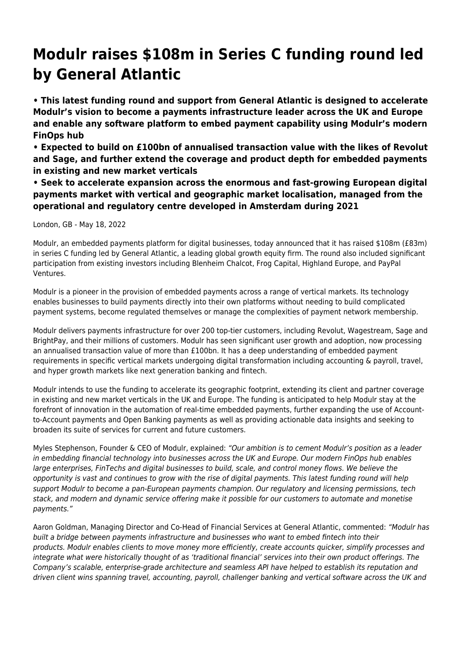# **Modulr raises \$108m in Series C funding round led by General Atlantic**

**• This latest funding round and support from General Atlantic is designed to accelerate Modulr's vision to become a payments infrastructure leader across the UK and Europe and enable any software platform to embed payment capability using Modulr's modern FinOps hub**

**• Expected to build on £100bn of annualised transaction value with the likes of Revolut and Sage, and further extend the coverage and product depth for embedded payments in existing and new market verticals**

**• Seek to accelerate expansion across the enormous and fast-growing European digital payments market with vertical and geographic market localisation, managed from the operational and regulatory centre developed in Amsterdam during 2021**

London, GB - May 18, 2022

Modulr, an embedded payments platform for digital businesses, today announced that it has raised \$108m (£83m) in series C funding led by General Atlantic, a leading global growth equity firm. The round also included significant participation from existing investors including Blenheim Chalcot, Frog Capital, Highland Europe, and PayPal Ventures.

Modulr is a pioneer in the provision of embedded payments across a range of vertical markets. Its technology enables businesses to build payments directly into their own platforms without needing to build complicated payment systems, become regulated themselves or manage the complexities of payment network membership.

Modulr delivers payments infrastructure for over 200 top-tier customers, including Revolut, Wagestream, Sage and BrightPay, and their millions of customers. Modulr has seen significant user growth and adoption, now processing an annualised transaction value of more than £100bn. It has a deep understanding of embedded payment requirements in specific vertical markets undergoing digital transformation including accounting & payroll, travel, and hyper growth markets like next generation banking and fintech.

Modulr intends to use the funding to accelerate its geographic footprint, extending its client and partner coverage in existing and new market verticals in the UK and Europe. The funding is anticipated to help Modulr stay at the forefront of innovation in the automation of real-time embedded payments, further expanding the use of Accountto-Account payments and Open Banking payments as well as providing actionable data insights and seeking to broaden its suite of services for current and future customers.

Myles Stephenson, Founder & CEO of Modulr, explained: "Our ambition is to cement Modulr's position as a leader in embedding financial technology into businesses across the UK and Europe. Our modern FinOps hub enables large enterprises, FinTechs and digital businesses to build, scale, and control money flows. We believe the opportunity is vast and continues to grow with the rise of digital payments. This latest funding round will help support Modulr to become a pan-European payments champion. Our regulatory and licensing permissions, tech stack, and modern and dynamic service offering make it possible for our customers to automate and monetise payments."

Aaron Goldman, Managing Director and Co-Head of Financial Services at General Atlantic, commented: "Modulr has built a bridge between payments infrastructure and businesses who want to embed fintech into their products. Modulr enables clients to move money more efficiently, create accounts quicker, simplify processes and integrate what were historically thought of as 'traditional financial' services into their own product offerings. The Company's scalable, enterprise-grade architecture and seamless API have helped to establish its reputation and driven client wins spanning travel, accounting, payroll, challenger banking and vertical software across the UK and